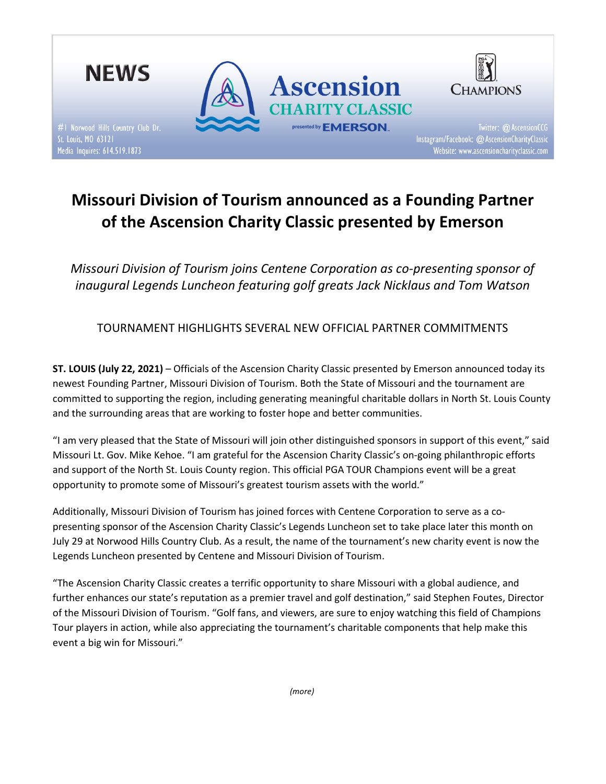

# Missouri Division of Tourism announced as a Founding Partner of the Ascension Charity Classic presented by Emerson

Missouri Division of Tourism joins Centene Corporation as co-presenting sponsor of inaugural Legends Luncheon featuring golf greats Jack Nicklaus and Tom Watson

TOURNAMENT HIGHLIGHTS SEVERAL NEW OFFICIAL PARTNER COMMITMENTS

ST. LOUIS (July 22, 2021) – Officials of the Ascension Charity Classic presented by Emerson announced today its newest Founding Partner, Missouri Division of Tourism. Both the State of Missouri and the tournament are committed to supporting the region, including generating meaningful charitable dollars in North St. Louis County and the surrounding areas that are working to foster hope and better communities.

"I am very pleased that the State of Missouri will join other distinguished sponsors in support of this event," said Missouri Lt. Gov. Mike Kehoe. "I am grateful for the Ascension Charity Classic's on-going philanthropic efforts and support of the North St. Louis County region. This official PGA TOUR Champions event will be a great opportunity to promote some of Missouri's greatest tourism assets with the world."

Additionally, Missouri Division of Tourism has joined forces with Centene Corporation to serve as a copresenting sponsor of the Ascension Charity Classic's Legends Luncheon set to take place later this month on July 29 at Norwood Hills Country Club. As a result, the name of the tournament's new charity event is now the Legends Luncheon presented by Centene and Missouri Division of Tourism.

"The Ascension Charity Classic creates a terrific opportunity to share Missouri with a global audience, and further enhances our state's reputation as a premier travel and golf destination," said Stephen Foutes, Director of the Missouri Division of Tourism. "Golf fans, and viewers, are sure to enjoy watching this field of Champions Tour players in action, while also appreciating the tournament's charitable components that help make this event a big win for Missouri."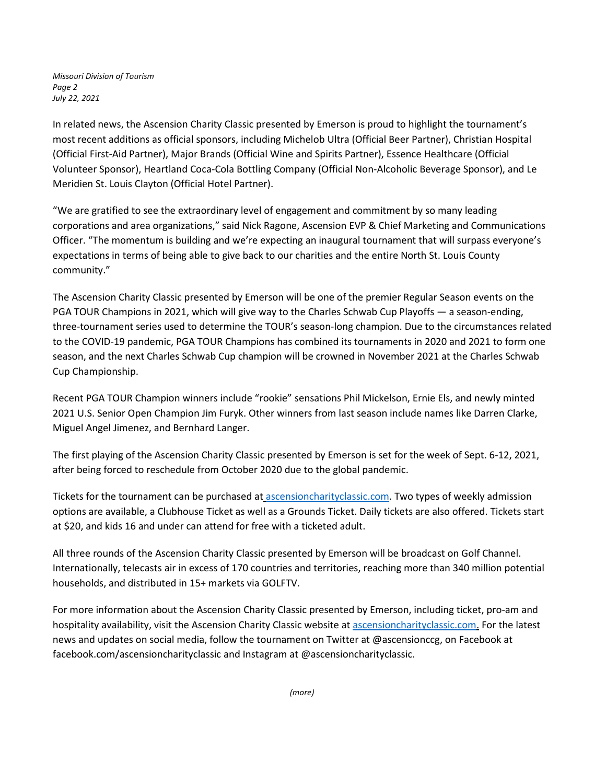Missouri Division of Tourism Page 2 July 22, 2021

In related news, the Ascension Charity Classic presented by Emerson is proud to highlight the tournament's most recent additions as official sponsors, including Michelob Ultra (Official Beer Partner), Christian Hospital (Official First-Aid Partner), Major Brands (Official Wine and Spirits Partner), Essence Healthcare (Official Volunteer Sponsor), Heartland Coca-Cola Bottling Company (Official Non-Alcoholic Beverage Sponsor), and Le Meridien St. Louis Clayton (Official Hotel Partner).

"We are gratified to see the extraordinary level of engagement and commitment by so many leading corporations and area organizations," said Nick Ragone, Ascension EVP & Chief Marketing and Communications Officer. "The momentum is building and we're expecting an inaugural tournament that will surpass everyone's expectations in terms of being able to give back to our charities and the entire North St. Louis County community."

The Ascension Charity Classic presented by Emerson will be one of the premier Regular Season events on the PGA TOUR Champions in 2021, which will give way to the Charles Schwab Cup Playoffs — a season-ending, three-tournament series used to determine the TOUR's season-long champion. Due to the circumstances related to the COVID-19 pandemic, PGA TOUR Champions has combined its tournaments in 2020 and 2021 to form one season, and the next Charles Schwab Cup champion will be crowned in November 2021 at the Charles Schwab Cup Championship.

Recent PGA TOUR Champion winners include "rookie" sensations Phil Mickelson, Ernie Els, and newly minted 2021 U.S. Senior Open Champion Jim Furyk. Other winners from last season include names like Darren Clarke, Miguel Angel Jimenez, and Bernhard Langer.

The first playing of the Ascension Charity Classic presented by Emerson is set for the week of Sept. 6-12, 2021, after being forced to reschedule from October 2020 due to the global pandemic.

Tickets for the tournament can be purchased at ascensioncharityclassic.com. Two types of weekly admission options are available, a Clubhouse Ticket as well as a Grounds Ticket. Daily tickets are also offered. Tickets start at \$20, and kids 16 and under can attend for free with a ticketed adult.

All three rounds of the Ascension Charity Classic presented by Emerson will be broadcast on Golf Channel. Internationally, telecasts air in excess of 170 countries and territories, reaching more than 340 million potential households, and distributed in 15+ markets via GOLFTV.

For more information about the Ascension Charity Classic presented by Emerson, including ticket, pro-am and hospitality availability, visit the Ascension Charity Classic website at ascensioncharityclassic.com. For the latest news and updates on social media, follow the tournament on Twitter at @ascensionccg, on Facebook at facebook.com/ascensioncharityclassic and Instagram at @ascensioncharityclassic.